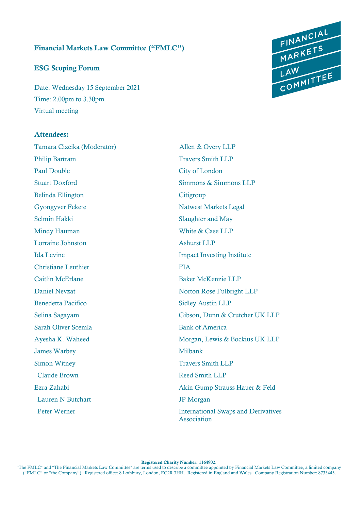#### Financial Markets Law Committee ("FMLC")

#### ESG Scoping Forum

Date: Wednesday 15 September 2021 Time: 2.00pm to 3.30pm Virtual meeting

#### Attendees:

Tamara Cizeika (Moderator) Allen & Overy LLP Philip Bartram Travers Smith LLP Paul Double City of London Belinda Ellington Citigroup Gyongyver Fekete Natwest Markets Legal Selmin Hakki Slaughter and May Mindy Hauman White & Case LLP Lorraine Johnston Ashurst LLP Ida Levine Impact Investing Institute Christiane Leuthier FIA Caitlin McErlane Baker McKenzie LLP Benedetta Pacifico Sidley Austin LLP Sarah Oliver Scemla Bank of America James Warbey Milbank Simon Witney Travers Smith LLP Claude Brown Reed Smith LLP Lauren N Butchart JP Morgan



Stuart Doxford Simmons & Simmons LLP Daniel Nevzat Norton Rose Fulbright LLP Selina Sagayam Gibson, Dunn & Crutcher UK LLP Ayesha K. Waheed Morgan, Lewis & Bockius UK LLP Ezra Zahabi Akin Gump Strauss Hauer & Feld Peter Werner **International Swaps and Derivatives** 

Association

Registered Charity Number: 1164902.

"The FMLC" and "The Financial Markets Law Committee" are terms used to describe a committee appointed by Financial Markets Law Committee, a limited company ("FMLC" or "the Company"). Registered office: 8 Lothbury, London, EC2R 7HH. Registered in England and Wales. Company Registration Number: 8733443.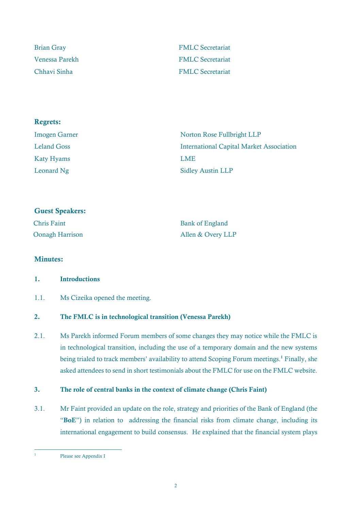| <b>Brian Gray</b> | <b>FMLC</b> Secretariat |
|-------------------|-------------------------|
| Venessa Parekh    | <b>FMLC</b> Secretariat |
| Chhavi Sinha      | <b>FMLC</b> Secretariat |

| <b>Regrets:</b>      |                                                 |
|----------------------|-------------------------------------------------|
| <b>Imogen Garner</b> | Norton Rose Fullbright LLP                      |
| <b>Leland Goss</b>   | <b>International Capital Market Association</b> |
| <b>Katy Hyams</b>    | <b>LME</b>                                      |
| Leonard Ng           | <b>Sidley Austin LLP</b>                        |

| <b>Guest Speakers:</b> |                        |
|------------------------|------------------------|
| <b>Chris Faint</b>     | <b>Bank of England</b> |
| <b>Oonagh Harrison</b> | Allen & Overy LLP      |

## Minutes:

## 1. Introductions

## 1.1. Ms Cizeika opened the meeting.

## 2. The FMLC is in technological transition (Venessa Parekh)

2.1. Ms Parekh informed Forum members of some changes they may notice while the FMLC is in technological transition, including the use of a temporary domain and the new systems being trialed to track members' availability to attend Scoping Forum meetings.<sup>1</sup> Finally, she asked attendees to send in short testimonials about the FMLC for use on the FMLC website.

## 3. The role of central banks in the context of climate change (Chris Faint)

3.1. Mr Faint provided an update on the role, strategy and priorities of the Bank of England (the "BoE") in relation to addressing the financial risks from climate change, including its international engagement to build consensus. He explained that the financial system plays

<sup>1</sup> Please see Appendix I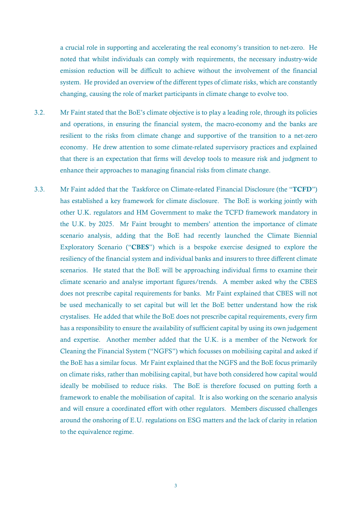a crucial role in supporting and accelerating the real economy's transition to net-zero. He noted that whilst individuals can comply with requirements, the necessary industry-wide emission reduction will be difficult to achieve without the involvement of the financial system. He provided an overview of the different types of climate risks, which are constantly changing, causing the role of market participants in climate change to evolve too.

- 3.2. Mr Faint stated that the BoE's climate objective is to play a leading role, through its policies and operations, in ensuring the financial system, the macro-economy and the banks are resilient to the risks from climate change and supportive of the transition to a net-zero economy. He drew attention to some climate-related supervisory practices and explained that there is an expectation that firms will develop tools to measure risk and judgment to enhance their approaches to managing financial risks from climate change.
- 3.3. Mr Faint added that the [Taskforce on Climate-related Financial Disclosure \(](https://www.fsb-tcfd.org/)the "TCFD") has established a key framework for climate disclosure. The BoE is working jointly with other U.K. regulators and HM Government to make the [TCFD](https://www.gov.uk/government/publications/uk-joint-regulator-and-government-tcfd-taskforce-interim-report-and-roadmap) [framework](https://www.gov.uk/government/publications/uk-joint-regulator-and-government-tcfd-taskforce-interim-report-and-roadmap) [mandatory in](https://www.gov.uk/government/publications/uk-joint-regulator-and-government-tcfd-taskforce-interim-report-and-roadmap)  [the U.K.](https://www.gov.uk/government/publications/uk-joint-regulator-and-government-tcfd-taskforce-interim-report-and-roadmap) by 2025. Mr Faint brought to members' attention the importance of climate scenario analysis, adding that the BoE had recently launched the Climate Biennial Exploratory Scenario ("CBES") which is a bespoke exercise designed to explore the resiliency of the financial system and individual banks and insurers to three different climate scenarios. He stated that the BoE will be approaching individual firms to examine their climate scenario and analyse important figures/trends. A member asked why the CBES does not prescribe capital requirements for banks. Mr Faint explained that CBES will not be used mechanically to set capital but will let the BoE better understand how the risk crystalises. He added that while the BoE does not prescribe capital requirements, every firm has a responsibility to ensure the availability of sufficient capital by using its own judgement and expertise. Another member added that the U.K. is a member of the Network for Cleaning the Financial System ("NGFS") which focusses on mobilising capital and asked if the BoE has a similar focus. Mr Faint explained that the NGFS and the BoE focus primarily on climate risks, rather than mobilising capital, but have both considered how capital would ideally be mobilised to reduce risks. The BoE is therefore focused on putting forth a framework to enable the mobilisation of capital. It is also working on the scenario analysis and will ensure a coordinated effort with other regulators. Members discussed challenges around the onshoring of E.U. regulations on ESG matters and the lack of clarity in relation to the equivalence regime.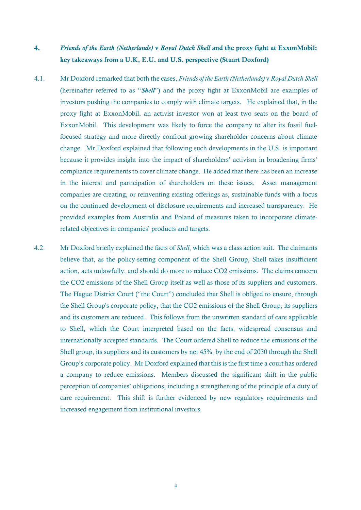# 4. *Friends of the Earth (Netherlands)* v *Royal Dutch Shell* and the proxy fight at ExxonMobil: key takeaways from a U.K, E.U. and U.S. perspective (Stuart Doxford)

- 4.1. Mr Doxford remarked that both the cases, *Friends of the Earth (Netherlands)* v *Royal Dutch Shell* (hereinafter referred to as "*Shell*") and the proxy fight at ExxonMobil are examples of investors pushing the companies to comply with climate targets. He explained that, in the proxy fight at ExxonMobil, an activist investor won at least two seats on the board of ExxonMobil. This development was likely to force the company to alter its fossil fuelfocused strategy and more directly confront growing shareholder concerns about climate change. Mr Doxford explained that following such developments in the U.S. is important because it provides insight into the impact of shareholders' activism in broadening firms' compliance requirements to cover climate change. He added that there has been an increase in the interest and participation of shareholders on these issues. Asset management companies are creating, or reinventing existing offerings as, sustainable funds with a focus on the continued development of disclosure requirements and increased transparency. He provided examples from Australia and Poland of measures taken to incorporate climaterelated objectives in companies' products and targets.
- 4.2. Mr Doxford briefly explained the facts of *Shell*, which was a class action suit. The claimants believe that, as the policy-setting component of the Shell Group, Shell takes insufficient action, acts unlawfully, and should do more to reduce CO2 emissions. The claims concern the CO2 emissions of the Shell Group itself as well as those of its suppliers and customers. The Hague District Court ("the Court") concluded that Shell is obliged to ensure, through the Shell Group's corporate policy, that the CO2 emissions of the Shell Group, its suppliers and its customers are reduced. This follows from the unwritten standard of care applicable to Shell, which the Court interpreted based on the facts, widespread consensus and internationally accepted standards. The Court ordered Shell to reduce the emissions of the Shell group, its suppliers and its customers by net 45%, by the end of 2030 through the Shell Group's corporate policy. Mr Doxford explained that this is the first time a court has ordered a company to reduce emissions. Members discussed the significant shift in the public perception of companies' obligations, including a strengthening of the principle of a duty of care requirement. This shift is further evidenced by new regulatory requirements and increased engagement from institutional investors.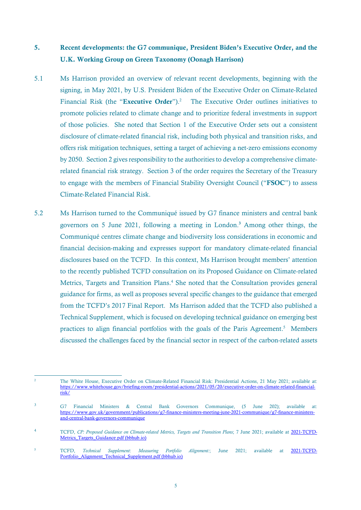# 5. Recent developments: the G7 communique, President Biden's Executive Order, and the U.K. Working Group on Green Taxonomy (Oonagh Harrison)

- 5.1 Ms Harrison provided an overview of relevant recent developments, beginning with the signing, in May 2021, by U.S. President Biden of the Executive Order on Climate-Related Financial Risk (the "Executive Order").<sup>2</sup> The Executive Order outlines initiatives to promote policies related to climate change and to prioritize federal investments in support of those policies. She noted that Section 1 of the Executive Order sets out a consistent disclosure of climate-related financial risk, including both physical and transition risks, and offers risk mitigation techniques, setting a target of achieving a net-zero emissions economy by 2050. Section 2 gives responsibility to the authorities to develop a comprehensive climaterelated financial risk strategy. Section 3 of the order requires the Secretary of the Treasury to engage with the members of Financial Stability Oversight Council ("FSOC") to assess Climate-Related Financial Risk.
- 5.2 Ms Harrison turned to the Communiqué issued by G7 finance ministers and central bank governors on 5 June 2021, following a meeting in London.<sup>3</sup> Among other things, the Communiqué centres climate change and biodiversity loss considerations in economic and financial decision-making and expresses support for mandatory climate-related financial disclosures based on the TCFD. In this context, Ms Harrison brought members' attention to the recently published TCFD consultation on its Proposed Guidance on Climate-related Metrics, Targets and Transition Plans.<sup>4</sup> She noted that the Consultation provides general guidance for firms, as well as proposes several specific changes to the guidance that emerged from the TCFD's 2017 Final Report. Ms Harrison added that the TCFD also published a Technical Supplement, which is focused on developing technical guidance on emerging best practices to align financial portfolios with the goals of the Paris Agreement.<sup>5</sup> Members discussed the challenges faced by the financial sector in respect of the carbon-related assets

<sup>5</sup> TCFD, *Technical Supplement*: *Measuring Portfolio Alignment:*; June 2021; available at [2021-TCFD-](https://assets.bbhub.io/company/sites/60/2021/05/2021-TCFD-Portfolio_Alignment_Technical_Supplement.pdf)[Portfolio\\_Alignment\\_Technical\\_Supplement.pdf \(bbhub.io\)](https://assets.bbhub.io/company/sites/60/2021/05/2021-TCFD-Portfolio_Alignment_Technical_Supplement.pdf)

<sup>2</sup> The White House, Executive Order on Climate-Related Financial Risk: Presidential Actions, 21 May 2021; available at: [https://www.whitehouse.gov/briefing-room/presidential-actions/2021/05/20/executive-order-on-climate-related-financial](https://www.whitehouse.gov/briefing-room/presidential-actions/2021/05/20/executive-order-on-climate-related-financial-risk/)[risk/](https://www.whitehouse.gov/briefing-room/presidential-actions/2021/05/20/executive-order-on-climate-related-financial-risk/)

<sup>3</sup> G7 Financial Ministers & Central Bank Governors Communique, (5 June 202); available at: [https://www.gov.uk/government/publications/g7-finance-ministers-meeting-june-2021-communique/g7-finance-ministers](https://www.gov.uk/government/publications/g7-finance-ministers-meeting-june-2021-communique/g7-finance-ministers-and-central-bank-governors-communique)[and-central-bank-governors-communique](https://www.gov.uk/government/publications/g7-finance-ministers-meeting-june-2021-communique/g7-finance-ministers-and-central-bank-governors-communique)

<sup>4</sup> TCFD, *CP: Proposed Guidance on Climate-related Metrics, Targets and Transition Plans*; 7 June 2021; available at [2021-TCFD-](https://assets.bbhub.io/company/sites/60/2021/05/2021-TCFD-Metrics_Targets_Guidance.pdf)[Metrics\\_Targets\\_Guidance.pdf \(bbhub.io\)](https://assets.bbhub.io/company/sites/60/2021/05/2021-TCFD-Metrics_Targets_Guidance.pdf)